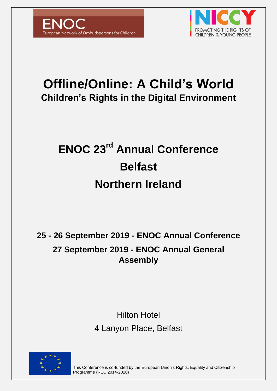



# **Offline/Online: A Child's World Children's Rights in the Digital Environment**

# **ENOC 23rd Annual Conference Belfast Northern Ireland**

## **25 - 26 September 2019 - ENOC Annual Conference 27 September 2019 - ENOC Annual General Assembly**

### Hilton Hotel 4 Lanyon Place, Belfast



This Conference is co-funded by the European Union's Rights, Equality and Citizenship Programme (REC 2014-2020)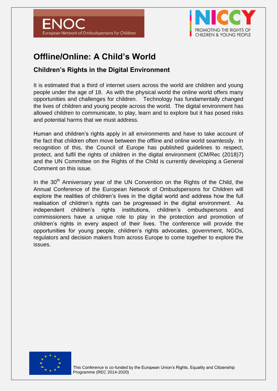



### **Offline/Online: A Child's World**

### **Children's Rights in the Digital Environment**

It is estimated that a third of internet users across the world are children and young people under the age of 18. As with the physical world the online world offers many opportunities and challenges for children. Technology has fundamentally changed the lives of children and young people across the world. The digital environment has allowed children to communicate, to play, learn and to explore but it has posed risks and potential harms that we must address.

Human and children's rights apply in all environments and have to take account of the fact that children often move between the offline and online world seamlessly. In recognition of this, the Council of Europe has published guidelines to respect, protect, and fulfil the rights of children in the digital environment (CM/Rec (2018)7) and the UN Committee on the Rights of the Child is currently developing a General Comment on this issue.

In the  $30<sup>th</sup>$  Anniversary year of the UN Convention on the Rights of the Child, the Annual Conference of the European Network of Ombudspersons for Children will explore the realities of children's lives in the digital world and address how the full realisation of children's rights can be progressed in the digital environment. As independent children's rights institutions, children's ombudspersons and commissioners have a unique role to play in the protection and promotion of children's rights in every aspect of their lives. The conference will provide the opportunities for young people, children's rights advocates, government, NGOs, regulators and decision makers from across Europe to come together to explore the issues.

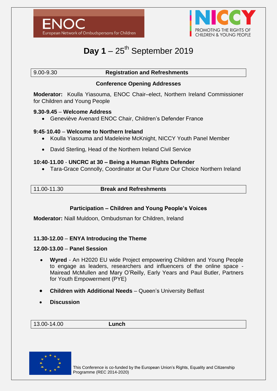



### Day  $1 - 25$ <sup>th</sup> September 2019

#### 9.00-9.30 **Registration and Refreshments**

#### **Conference Opening Addresses**

**Moderator:** Koulla Yiasouma, ENOC Chair–elect, Northern Ireland Commissioner for Children and Young People

#### **9.30-9.45** – **Welcome Address**

Geneviève Avenard ENOC Chair, Children's Defender France

#### **9:45**-**10.40** – **Welcome to Northern Ireland**

- Koulla Yiasouma and Madeleine McKnight, NICCY Youth Panel Member
- David Sterling, Head of the Northern Ireland Civil Service

#### **10:40**-**11.00** - **UNCRC at 30 – Being a Human Rights Defender**

Tara-Grace Connolly, Coordinator at Our Future Our Choice Northern Ireland

| 11.00-11.30 | <b>Break and Refreshments</b> |  |
|-------------|-------------------------------|--|

#### **Participation – Children and Young People's Voices**

**Moderator:** Niall Muldoon, Ombudsman for Children, Ireland

#### **11.30-12.00** – **ENYA Introducing the Theme**

#### **12.00-13.00** – **Panel Session**

- **Wyred**  An H2020 EU wide Project empowering Children and Young People to engage as leaders, researchers and influencers of the online space - Mairead McMullen and Mary O'Reilly, Early Years and Paul Butler, Partners for Youth Empowerment (PYE)
- **Children with Additional Needs** Queen's University Belfast
- **Discussion**

13.00-14.00 **Lunch**

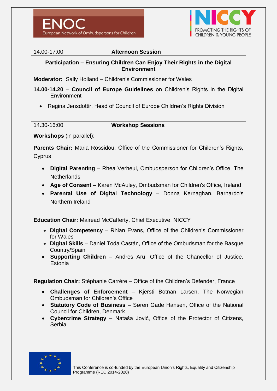



14.00-17:00 **Afternoon Session**

#### **Participation – Ensuring Children Can Enjoy Their Rights in the Digital Environment**

**Moderator:** Sally Holland – Children's Commissioner for Wales

**14.00-14.20** – **Council of Europe Guidelines** on Children's Rights in the Digital **Environment** 

• Regina Jensdottir, Head of Council of Europe Children's Rights Division

| 14.30-16:00 |  |
|-------------|--|
|             |  |

#### 14.30-16:00 **Workshop Sessions**

**Workshops** (in parallel):

**Parents Chair:** Maria Rossidou, Office of the Commissioner for Children's Rights, **Cyprus** 

- **Digital Parenting** Rhea Verheul, Ombudsperson for Children's Office, The **Netherlands**
- **Age of Consent** Karen McAuley, Ombudsman for Children's Office, Ireland
- **Parental Use of Digital Technology** Donna Kernaghan, Barnardo's Northern Ireland

**Education Chair:** Mairead McCafferty, Chief Executive, NICCY

- **Digital Competency** Rhian Evans, Office of the Children's Commissioner for Wales
- **Digital Skills** Daniel Toda Castán, Office of the Ombudsman for the Basque Country/Spain
- **Supporting Children**  Andres Aru, Office of the Chancellor of Justice, **Estonia**

**Regulation Chair:** Stéphanie Carrère – Office of the Children's Defender, France

- **Challenges of Enforcement** Kjersti Botnan Larsen, The Norwegian Ombudsman for Children's Office
- **Statutory Code of Business** Søren Gade Hansen, Office of the National Council for Children, Denmark
- **Cybercrime Strategy** Nataša Jović, Office of the Protector of Citizens, Serbia

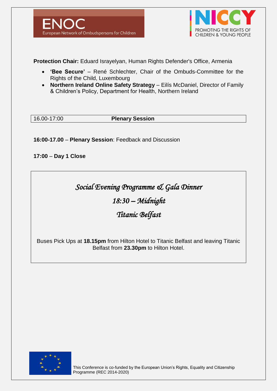



**Protection Chair:** Eduard Israyelyan, Human Rights Defender's Office, Armenia

- **'Bee Secure'** René Schlechter, Chair of the Ombuds-Committee for the Rights of the Child, Luxembourg
- **Northern Ireland Online Safety Strategy** Eilís McDaniel, Director of Family & Children's Policy, Department for Health, Northern Ireland

16.00-17:00 **Plenary Session**

**16:00-17.00** – **Plenary Session**: Feedback and Discussion

**17:00** – **Day 1 Close**

*Social Evening Programme & Gala Dinner* 

*18:30 – Midnight* 

### *Titanic Belfast*

Buses Pick Ups at **18.15pm** from Hilton Hotel to Titanic Belfast and leaving Titanic Belfast from **23.30pm** to Hilton Hotel.

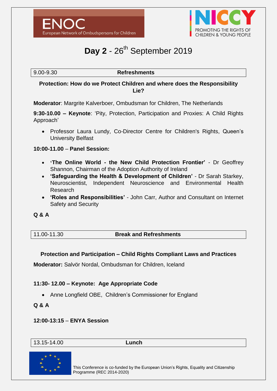



### **Day 2** - 26<sup>th</sup> September 2019

9.00-9.30 **Refreshments**

#### **Protection: How do we Protect Children and where does the Responsibility Lie?**

**Moderator**: Margrite Kalverboer, Ombudsman for Children, The Netherlands

**9:30-10.00 – Keynote**: 'Pity, Protection, Participation and Proxies: A Child Rights Approach'

 Professor Laura Lundy, Co-Director Centre for Children's Rights, Queen's University Belfast

#### **10:00-11.00** – **Panel Session:**

- **'The Online World - the New Child Protection Frontier'** Dr Geoffrey Shannon, Chairman of the Adoption Authority of Ireland
- **'Safeguarding the Health & Development of Children'** Dr Sarah Starkey, Neuroscientist, Independent Neuroscience and Environmental Health Research
- **'Roles and Responsibilities'** John Carr, Author and Consultant on Internet Safety and Security

#### **Q & A**

11.00-11.30 **Break and Refreshments**

#### **Protection and Participation – Child Rights Compliant Laws and Practices**

**Moderator:** Salvör Nordal, Ombudsman for Children, Iceland

#### **11:30- 12.00 – Keynote: Age Appropriate Code**

• Anne Longfield OBE, Children's Commissioner for England

#### **Q & A**

#### **12:00-13:15** – **ENYA Session**

13.15-14.00 **Lunch**

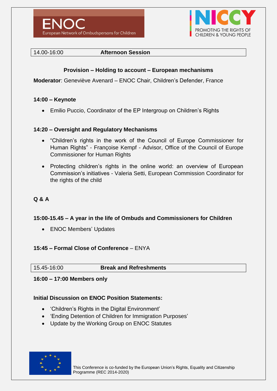



#### 14.00-16:00 **Afternoon Session**

#### **Provision – Holding to account – European mechanisms**

**Moderator**: Geneviève Avenard – ENOC Chair, Children's Defender, France

#### **14:00 – Keynote**

Emilio Puccio, Coordinator of the EP Intergroup on Children's Rights

#### **14:20 – Oversight and Regulatory Mechanisms**

- "Children's rights in the work of the Council of Europe Commissioner for Human Rights" - Françoise Kempf - Advisor, Office of the Council of Europe Commissioner for Human Rights
- Protecting children's rights in the online world: an overview of European Commission's initiatives - Valeria Setti, European Commission Coordinator for the rights of the child

#### **Q & A**

#### **15:00-15.45 – A year in the life of Ombuds and Commissioners for Children**

• ENOC Members' Updates

#### **15:45 – Formal Close of Conference** – ENYA

15.45-16:00 **Break and Refreshments**

#### **16:00 – 17:00 Members only**

#### **Initial Discussion on ENOC Position Statements:**

- 'Children's Rights in the Digital Environment'
- 'Ending Detention of Children for Immigration Purposes'
- Update by the Working Group on ENOC Statutes